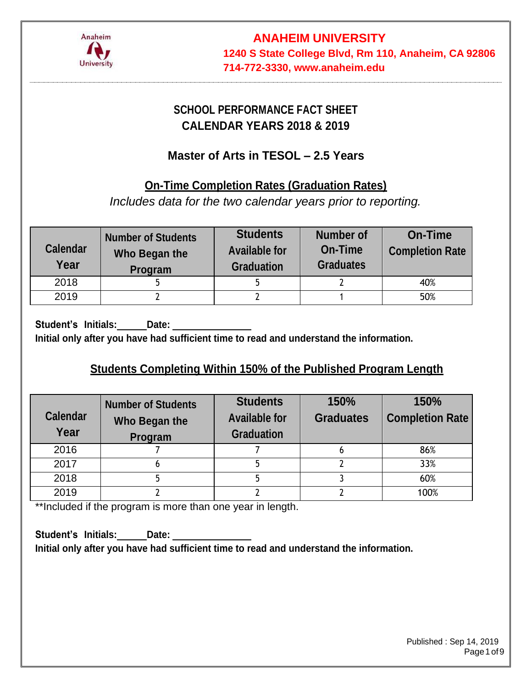

# **SCHOOL PERFORMANCE FACT SHEET CALENDAR YEARS 2018 & 2019**

# **Master of Arts in TESOL – 2.5 Years**

# **On-Time Completion Rates (Graduation Rates)**

*Includes data for the two calendar years prior to reporting.*

| <b>Calendar</b><br>Year | <b>Number of Students</b><br>Who Began the<br>Program | <b>Students</b><br><b>Available for</b><br><b>Graduation</b> | <b>Number of</b><br><b>On-Time</b><br><b>Graduates</b> | <b>On-Time</b><br><b>Completion Rate</b> |
|-------------------------|-------------------------------------------------------|--------------------------------------------------------------|--------------------------------------------------------|------------------------------------------|
| 2018                    |                                                       |                                                              |                                                        | 40%                                      |
| 2019                    |                                                       |                                                              |                                                        | 50%                                      |

**Student's Initials: Date: Initial only after you have had sufficient time to read and understand the information.**

# **Students Completing Within 150% of the Published Program Length**

| <b>Calendar</b><br>Year | <b>Number of Students</b><br>Who Began the<br>Program | <b>Students</b><br><b>Available for</b><br><b>Graduation</b> | 150%<br><b>Graduates</b> | 150%<br><b>Completion Rate</b> |  |
|-------------------------|-------------------------------------------------------|--------------------------------------------------------------|--------------------------|--------------------------------|--|
| 2016                    |                                                       |                                                              |                          | 86%                            |  |
| 2017                    |                                                       |                                                              |                          | 33%                            |  |
| 2018                    |                                                       |                                                              |                          | 60%                            |  |
| 2019                    |                                                       |                                                              |                          | 100%                           |  |

\*\*Included if the program is more than one year in length.

**Student's Initials: Date: Initial only after you have had sufficient time to read and understand the information.**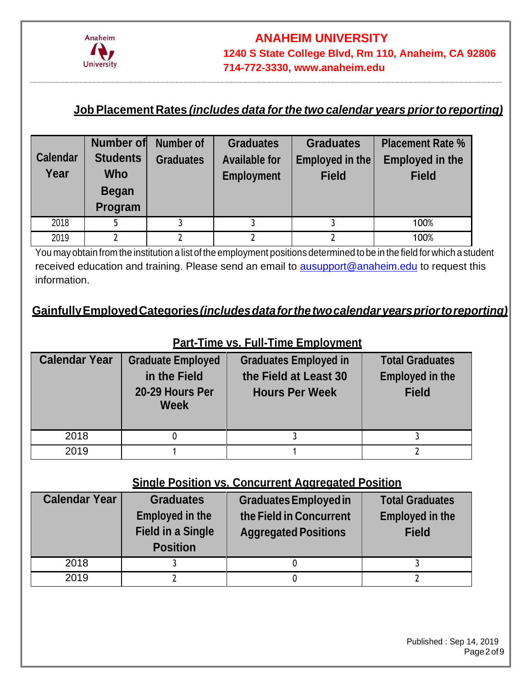

## **JobPlacement Rates** *(includes data forthe two calendar years priorto reporting)*

| <b>Calendar</b><br>Year | Number of<br><b>Students</b><br><b>Who</b><br><b>Began</b><br>Program | Number of<br><b>Graduates</b> | <b>Graduates</b><br><b>Available for</b><br><b>Employment</b> | <b>Graduates</b><br>Employed in the<br><b>Field</b> | <b>Placement Rate %</b><br><b>Employed in the</b><br><b>Field</b> |
|-------------------------|-----------------------------------------------------------------------|-------------------------------|---------------------------------------------------------------|-----------------------------------------------------|-------------------------------------------------------------------|
| 2018                    | 5                                                                     |                               |                                                               |                                                     | 100%                                                              |
| 2019                    | 2                                                                     |                               |                                                               |                                                     | 100%                                                              |

You mayobtain from the institution a list of the employment positions determined to be in the field for which a student received education and training. Please send an email to **ausupport@anaheim.edu** to request this information.

# **GainfullyEmployedCategories***(includesdataforthetwocalendaryearspriortoreporting)*

### **Part-Time vs. Full-Time Employment**

| <b>Calendar Year</b> | <b>Graduate Employed</b><br>in the Field<br>20-29 Hours Per<br><b>Week</b> | <b>Graduates Employed in</b><br>the Field at Least 30<br><b>Hours Per Week</b> | <b>Total Graduates</b><br><b>Employed in the</b><br><b>Field</b> |
|----------------------|----------------------------------------------------------------------------|--------------------------------------------------------------------------------|------------------------------------------------------------------|
| 2018                 |                                                                            |                                                                                |                                                                  |
| 2019                 |                                                                            |                                                                                |                                                                  |

#### **Single Position vs. Concurrent Aggregated Position**

| <b>Calendar Year</b> | <b>Graduates</b><br><b>Employed in the</b><br><b>Field in a Single</b><br><b>Position</b> | <b>Graduates Employed in</b><br>the Field in Concurrent<br><b>Aggregated Positions</b> | <b>Total Graduates</b><br><b>Employed in the</b><br><b>Field</b> |
|----------------------|-------------------------------------------------------------------------------------------|----------------------------------------------------------------------------------------|------------------------------------------------------------------|
| 2018                 |                                                                                           |                                                                                        |                                                                  |
| 2019                 |                                                                                           |                                                                                        |                                                                  |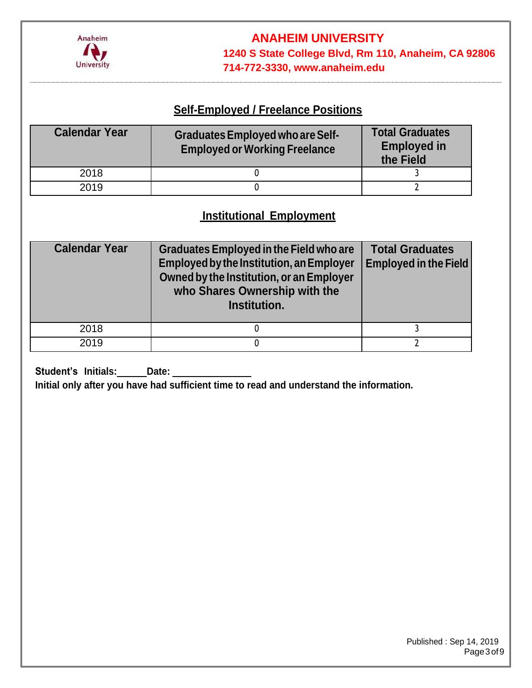

### **Self-Employed / Freelance Positions**

| <b>Calendar Year</b> | <b>Graduates Employed who are Self-</b><br><b>Employed or Working Freelance</b> | <b>Total Graduates</b><br><b>Employed in</b><br>the Field |  |
|----------------------|---------------------------------------------------------------------------------|-----------------------------------------------------------|--|
| 2018                 |                                                                                 |                                                           |  |
| 2019                 |                                                                                 |                                                           |  |

### **Institutional Employment**

| <b>Calendar Year</b> | <b>Graduates Employed in the Field who are</b><br><b>Employed by the Institution, an Employer</b><br>Owned by the Institution, or an Employer<br>who Shares Ownership with the<br>Institution. | <b>Total Graduates</b><br><b>Employed in the Field</b> |
|----------------------|------------------------------------------------------------------------------------------------------------------------------------------------------------------------------------------------|--------------------------------------------------------|
| 2018                 |                                                                                                                                                                                                |                                                        |
| 2019                 |                                                                                                                                                                                                |                                                        |

**Student's Initials: Date:**

**Initial only after you have had sufficient time to read and understand the information.**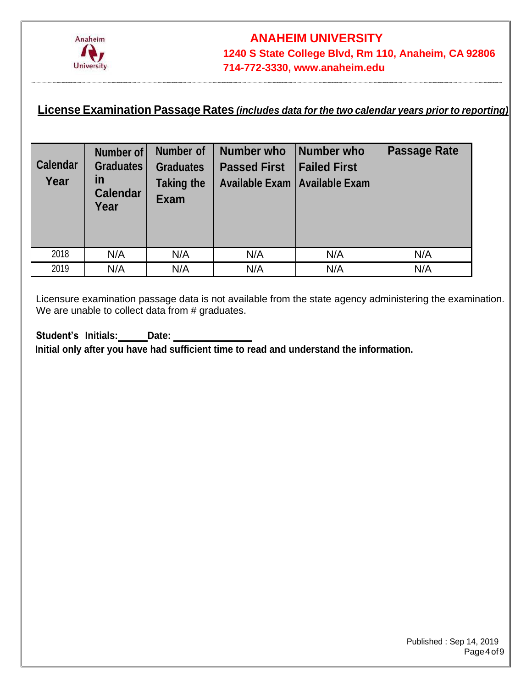

### **License Examination Passage Rates** *(includes data for the two calendar years prior to reporting)*

| <b>Calendar</b><br>Year | Number of<br><b>Graduates</b><br>in<br><b>Calendar</b><br>Year | <b>Number of</b><br><b>Graduates</b><br><b>Taking the</b><br><b>Exam</b> | <b>Number who</b><br><b>Passed First</b><br>Available Exam   Available Exam | Number who<br><b>Failed First</b> | <b>Passage Rate</b> |
|-------------------------|----------------------------------------------------------------|--------------------------------------------------------------------------|-----------------------------------------------------------------------------|-----------------------------------|---------------------|
| 2018                    | N/A                                                            | N/A                                                                      | N/A                                                                         | N/A                               | N/A                 |
| 2019                    | N/A                                                            | N/A                                                                      | N/A                                                                         | N/A                               | N/A                 |

Licensure examination passage data is not available from the state agency administering the examination. We are unable to collect data from # graduates.

**Student's Initials: Date: Initial only after you have had sufficient time to read and understand the information.**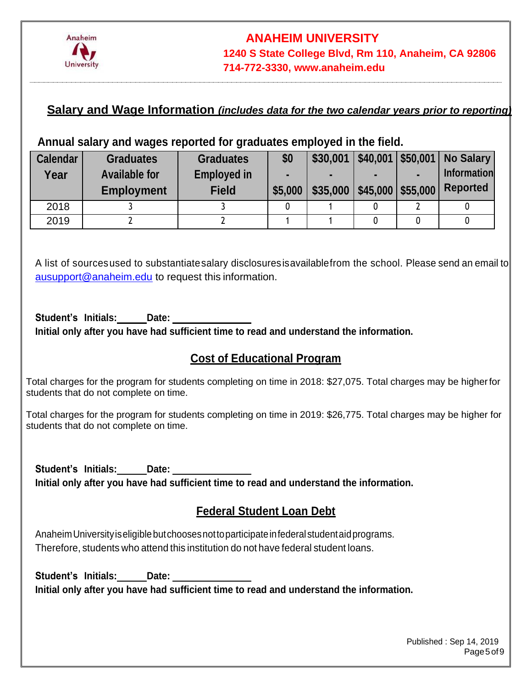

#### **Salary and Wage Information** *(includes data for the two calendar years prior to reporting)*

#### **Annual salary and wages reported for graduates employed in the field.**

| <b>Calendar</b><br>Year | <b>Graduates</b><br><b>Available for</b><br><b>Employment</b> | <b>Graduates</b><br><b>Employed in</b><br><b>Field</b> | \$0<br>-<br>\$5,000 | \$30,001<br>\$35,000 | $$40,001$   \$50,001  <br>$$45,000$ $$55,000$ | <b>No Salary</b><br><b>Information</b><br><b>Reported</b> |
|-------------------------|---------------------------------------------------------------|--------------------------------------------------------|---------------------|----------------------|-----------------------------------------------|-----------------------------------------------------------|
| 2018                    |                                                               |                                                        |                     |                      |                                               |                                                           |
| 2019                    |                                                               |                                                        |                     |                      |                                               |                                                           |

A list of sourcesused to substantiatesalary disclosuresisavailablefrom the school. Please send an email to [ausupport@anaheim.edu](mailto:ausupport@anaheim.edu) to request this information.

**Student's Initials: Date: Initial only after you have had sufficient time to read and understand the information.**

#### **Cost of Educational Program**

Total charges for the program for students completing on time in 2018: \$27,075. Total charges may be higherfor students that do not complete on time.

Total charges for the program for students completing on time in 2019: \$26,775. Total charges may be higher for students that do not complete on time.

**Student's Initials: Date: Initial only after you have had sufficient time to read and understand the information.**

### **Federal Student Loan Debt**

AnaheimUniversityiseligiblebutchoosesnottoparticipateinfederalstudentaidprograms. Therefore, students who attend this institution do not have federal student loans.

**Student's Initials: Date: Initial only after you have had sufficient time to read and understand the information.**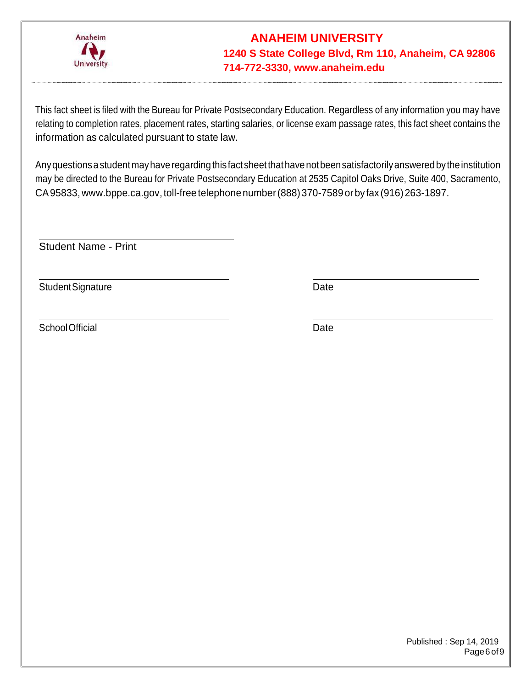

This fact sheet is filed with the Bureau for Private Postsecondary Education. Regardless of any information you may have relating to completion rates, placement rates, starting salaries, or license exam passage rates, this fact sheet contains the information as calculated pursuant to state law.

Any questions a student may have regarding this fact sheet that have not been satisfactorily answered by the institution may be directed to the Bureau for Private Postsecondary Education at 2535 Capitol Oaks Drive, Suite 400, Sacramento, CA95833, [www.bppe.ca.gov,](http://www.bppe.ca.gov/) toll-free telephonenumber(888)370-7589 orbyfax (916)263-1897.

Student Name - Print

Student Signature Date

SchoolOfficial Date Date

Published : Sep 14, 2019 Page6of9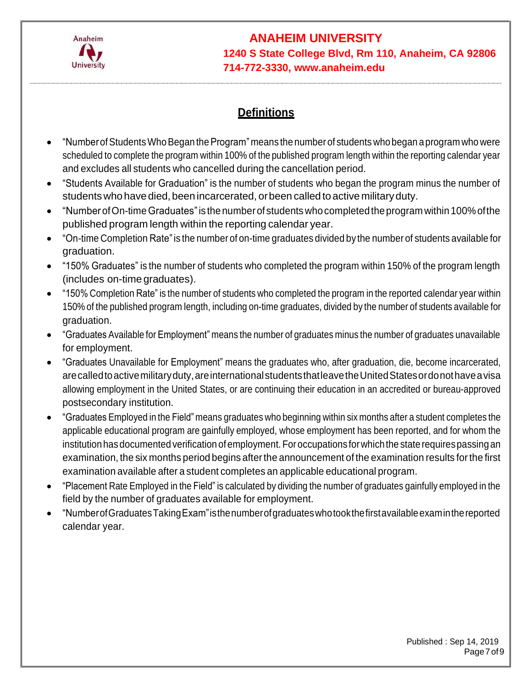

### **Definitions**

- "NumberofStudentsWhoBegan theProgram" means the numberof students who began aprogram who were scheduled to complete the program within 100% of the published program length within the reporting calendar year and excludes all students who cancelled during the cancellation period.
- "Students Available for Graduation" is the number of students who began the program minus the number of students who have died, been incarcerated, or been called to active military duty.
- "NumberofOn-timeGraduates"is the numberof students whocompletedtheprogram within 100%ofthe published program length within the reporting calendar year.
- "On-time Completion Rate"is the number of on-time graduates divided by the number of students available for graduation.
- "150% Graduates" is the number of students who completed the program within 150% of the program length (includes on-time graduates).
- "150% Completion Rate" is the number of students who completed the program in the reported calendar year within 150% of the published program length, including on-time graduates, divided by the number of students available for graduation.
- "Graduates Available for Employment" means the number of graduates minus the number of graduates unavailable for employment.
- "Graduates Unavailable for Employment" means the graduates who, after graduation, die, become incarcerated, are called to active military duty, are international students that leave the United States or donot have a visa allowing employment in the United States, or are continuing their education in an accredited or bureau-approved postsecondary institution.
- "Graduates Employed in the Field" means graduates who beginning within six months after a student completes the applicable educational program are gainfully employed, whose employment has been reported, and for whom the institution has documented verification of employment. For occupations for which the state requires passing an examination, the six months period begins after the announcement of the examination results for the first examination available after a student completes an applicable educational program.
- "Placement Rate Employed in the Field" is calculated by dividing the number of graduates gainfully employed in the field by the number of graduates available for employment.
- "NumberofGraduatesTakingExam"isthenumberofgraduateswhotookthefirstavailableexaminthereported calendar year.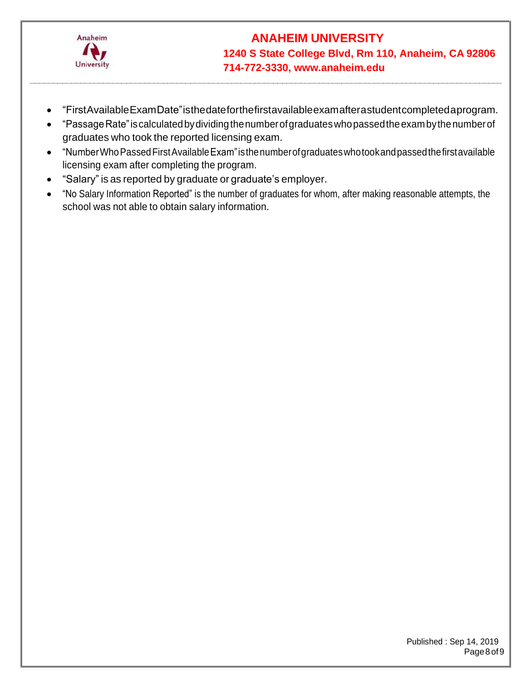

- "FirstAvailableExamDate"isthedateforthefirstavailableexamafterastudentcompletedaprogram.
- "PassageRate"iscalculatedbydividingthenumberofgraduateswhopassedtheexambythenumberof graduates who took the reported licensing exam.
- "NumberWhoPassedFirstAvailableExam"isthenumberofgraduateswhotookandpassedthefirstavailable licensing exam after completing the program.
- "Salary" is as reported by graduate or graduate's employer.
- "No Salary Information Reported" is the number of graduates for whom, after making reasonable attempts, the school was not able to obtain salary information.